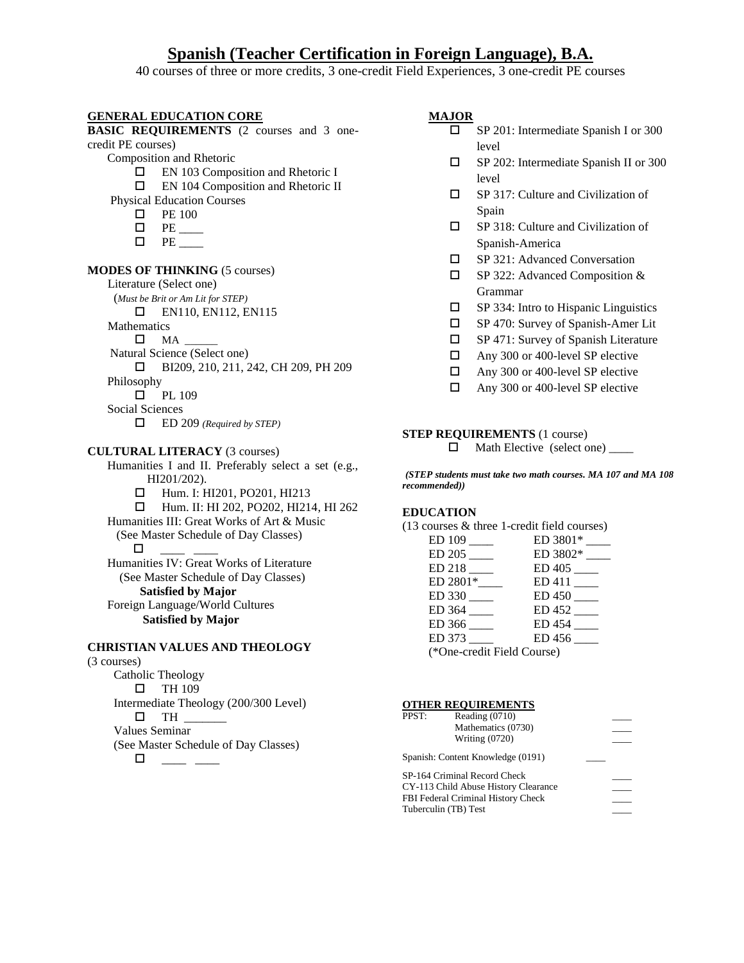# **Spanish (Teacher Certification in Foreign Language), B.A.**

40 courses of three or more credits, 3 one-credit Field Experiences, 3 one-credit PE courses

## **GENERAL EDUCATION CORE**

**BASIC REQUIREMENTS** (2 courses and 3 onecredit PE courses) Composition and Rhetoric □ EN 103 Composition and Rhetoric I EN 104 Composition and Rhetoric II Physical Education Courses  $\Box$  PE 100  $\Box$  PE \_\_\_\_\_\_  $\Box$  PE **MODES OF THINKING** (5 courses) Literature (Select one) (*Must be Brit or Am Lit for STEP)*   $\Box$  EN110, EN112, EN115 Mathematics  $\square$   $MA$ Natural Science (Select one) BI209, 210, 211, 242, CH 209, PH 209 Philosophy  $\n **PL** 109$ Social Sciences ED 209 *(Required by STEP)* **CULTURAL LITERACY** (3 courses) Humanities I and II. Preferably select a set (e.g., HI201/202). □ Hum. I: HI201, PO201, HI213 Hum. II: HI 202, PO202, HI214, HI 262 Humanities III: Great Works of Art & Music (See Master Schedule of Day Classes)  $\Box$ Humanities IV: Great Works of Literature (See Master Schedule of Day Classes) **Satisfied by Major**  Foreign Language/World Cultures **Satisfied by Major** 

## **CHRISTIAN VALUES AND THEOLOGY**

#### (3 courses)

Catholic Theology  $\Box$  TH 109 Intermediate Theology (200/300 Level)  $\square$  TH  $\square$ Values Seminar (See Master Schedule of Day Classes)  $\Box\ \_\_\_$ 

### **MAJOR**

- SP 201: Intermediate Spanish I or 300 level
- SP 202: Intermediate Spanish II or 300 level
- SP 317: Culture and Civilization of Spain
- SP 318: Culture and Civilization of Spanish-America
- □ SP 321: Advanced Conversation
- SP 322: Advanced Composition & Grammar
- $\square$  SP 334: Intro to Hispanic Linguistics
- $\Box$  SP 470: Survey of Spanish-Amer Lit
- $\Box$  SP 471: Survey of Spanish Literature
- Any 300 or 400-level SP elective
- Any 300 or 400-level SP elective
- Any 300 or 400-level SP elective

## **STEP REQUIREMENTS** (1 course)

 $\Box$  Math Elective (select one) \_\_\_\_\_

*(STEP students must take two math courses. MA 107 and MA 108 recommended))* 

## **EDUCATION**

|  |  |  |  | $(13 \text{ courses} \& \text{three } 1\text{-credit field courses})$ |
|--|--|--|--|-----------------------------------------------------------------------|
|--|--|--|--|-----------------------------------------------------------------------|

|                             | ED 3801*                   |  |  |  |
|-----------------------------|----------------------------|--|--|--|
| $ED 205$ <sub>___</sub>     | $ED 3802*$ <sub>____</sub> |  |  |  |
| ED 218                      | ED 405                     |  |  |  |
| $ED 2801*$ <sub>_____</sub> |                            |  |  |  |
| ED 330                      | ED 450                     |  |  |  |
| $ED$ 364 ___                | $ED 452$ <sub>____</sub>   |  |  |  |
| $ED$ 366 ___                | ED 454                     |  |  |  |
| ED 373                      | ED 456                     |  |  |  |
| (*One-credit Field Course)  |                            |  |  |  |
|                             |                            |  |  |  |

#### **OTHER REQUIREMENTS**

| PPST: | Reading $(0710)$                     |  |
|-------|--------------------------------------|--|
|       | Mathematics (0730)                   |  |
|       | <b>Writing (0720)</b>                |  |
|       | Spanish: Content Knowledge (0191)    |  |
|       | SP-164 Criminal Record Check         |  |
|       | CY-113 Child Abuse History Clearance |  |
|       | FBI Federal Criminal History Check   |  |
|       | Tuberculin (TB) Test                 |  |